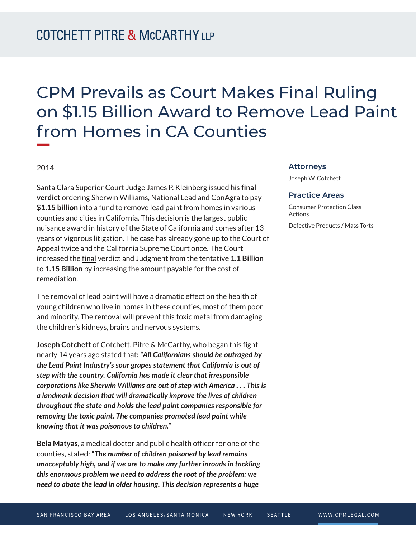# CPM Prevails as Court Makes Final Ruling on \$1.15 Billion Award to Remove Lead Paint from Homes in CA Counties

## 2014

Santa Clara Superior Court Judge James P. Kleinberg issued his **final verdict** ordering Sherwin Williams, National Lead and ConAgra to pay **\$1.15 billion** into a fund to remove lead paint from homes in various counties and cities in California. This decision is the largest public nuisance award in history of the State of California and comes after 13 years of vigorous litigation. The case has already gone up to the Court of Appeal twice and the California Supreme Court once. The Court increased the final verdict and Judgment from the tentative **1.1 Billion** to **1.15 Billion** by increasing the amount payable for the cost of remediation.

The removal of lead paint will have a dramatic effect on the health of young children who live in homes in these counties, most of them poor and minority. The removal will prevent this toxic metal from damaging the children's kidneys, brains and nervous systems.

**Joseph Cotchett** of Cotchett, Pitre & McCarthy, who began this fight nearly 14 years ago stated that**:** *"All Californians should be outraged by the Lead Paint Industry's sour grapes statement that California is out of step with the country. California has made it clear that irresponsible corporations like Sherwin Williams are out of step with America . . . This is a landmark decision that will dramatically improve the lives of children throughout the state and holds the lead paint companies responsible for removing the toxic paint. The companies promoted lead paint while knowing that it was poisonous to children."* 

**Bela Matyas**, a medical doctor and public health officer for one of the counties, stated: **"***The number of children poisoned by lead remains unacceptably high, and if we are to make any further inroads in tackling this enormous problem we need to address the root of the problem: we need to abate the lead in older housing. This decision represents a huge*

#### **Attorneys**

Joseph W. Cotchett

### **Practice Areas**

Consumer Protection Class Actions Defective Products / Mass Torts